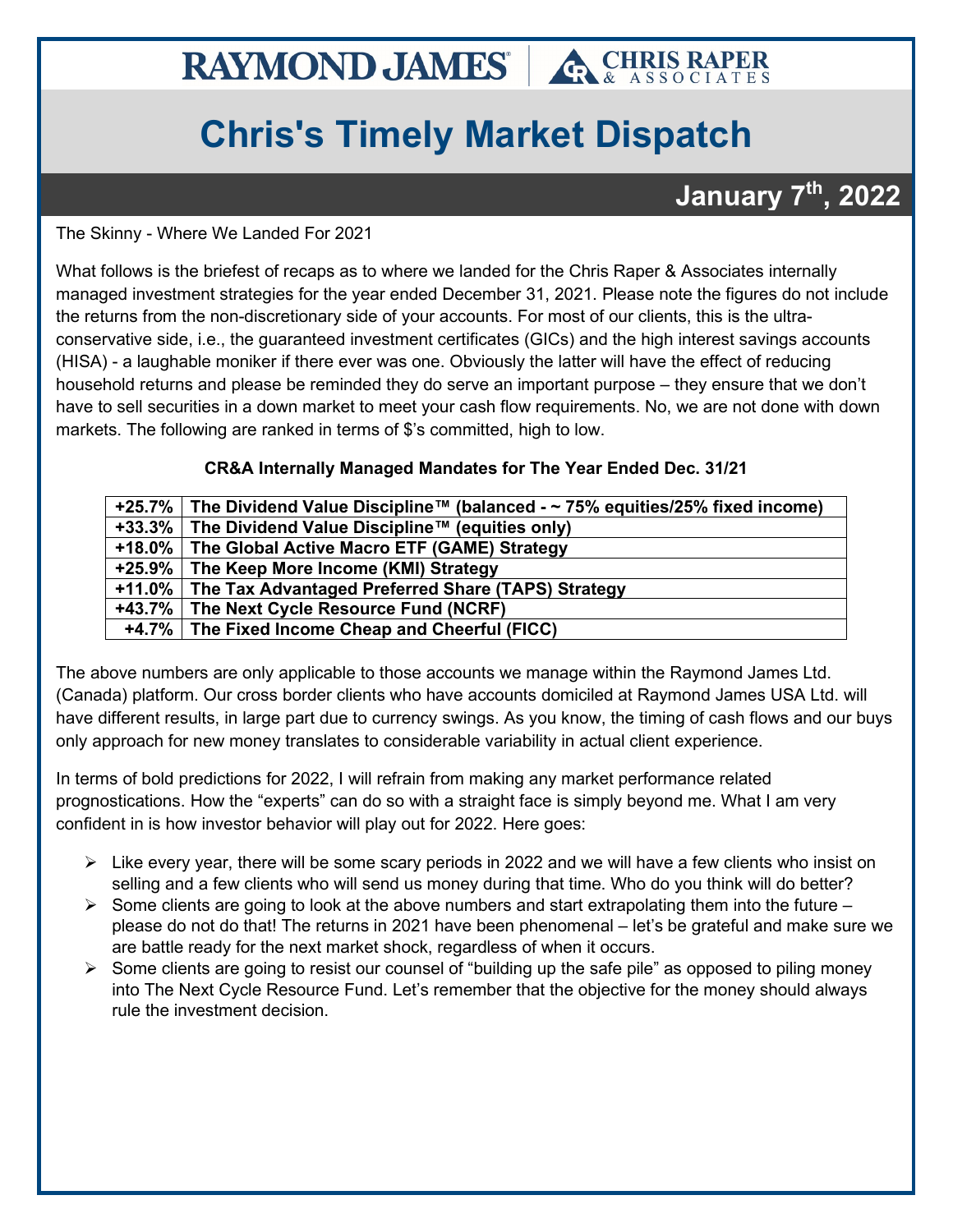## **RAYMOND JAMES A CHRIS RAPER**

## **Chris's Timely Market Dispatch**

## **January 7th, 2022**

The Skinny - Where We Landed For 2021

What follows is the briefest of recaps as to where we landed for the Chris Raper & Associates internally managed investment strategies for the year ended December 31, 2021. Please note the figures do not include the returns from the non-discretionary side of your accounts. For most of our clients, this is the ultraconservative side, i.e., the guaranteed investment certificates (GICs) and the high interest savings accounts (HISA) - a laughable moniker if there ever was one. Obviously the latter will have the effect of reducing household returns and please be reminded they do serve an important purpose – they ensure that we don't have to sell securities in a down market to meet your cash flow requirements. No, we are not done with down markets. The following are ranked in terms of \$'s committed, high to low.

## **CR&A Internally Managed Mandates for The Year Ended Dec. 31/21**

| +25.7%   The Dividend Value Discipline™ (balanced - $\sim$ 75% equities/25% fixed income) |
|-------------------------------------------------------------------------------------------|
| +33.3%   The Dividend Value Discipline™ (equities only)                                   |
| +18.0% The Global Active Macro ETF (GAME) Strategy                                        |
| +25.9% The Keep More Income (KMI) Strategy                                                |
| +11.0% The Tax Advantaged Preferred Share (TAPS) Strategy                                 |
| +43.7% The Next Cycle Resource Fund (NCRF)                                                |
| +4.7% The Fixed Income Cheap and Cheerful (FICC)                                          |

The above numbers are only applicable to those accounts we manage within the Raymond James Ltd. (Canada) platform. Our cross border clients who have accounts domiciled at Raymond James USA Ltd. will have different results, in large part due to currency swings. As you know, the timing of cash flows and our buys only approach for new money translates to considerable variability in actual client experience.

In terms of bold predictions for 2022, I will refrain from making any market performance related prognostications. How the "experts" can do so with a straight face is simply beyond me. What I am very confident in is how investor behavior will play out for 2022. Here goes:

- $\triangleright$  Like every year, there will be some scary periods in 2022 and we will have a few clients who insist on selling and a few clients who will send us money during that time. Who do you think will do better?
- $\triangleright$  Some clients are going to look at the above numbers and start extrapolating them into the future please do not do that! The returns in 2021 have been phenomenal – let's be grateful and make sure we are battle ready for the next market shock, regardless of when it occurs.
- $\triangleright$  Some clients are going to resist our counsel of "building up the safe pile" as opposed to piling money into The Next Cycle Resource Fund. Let's remember that the objective for the money should always rule the investment decision.